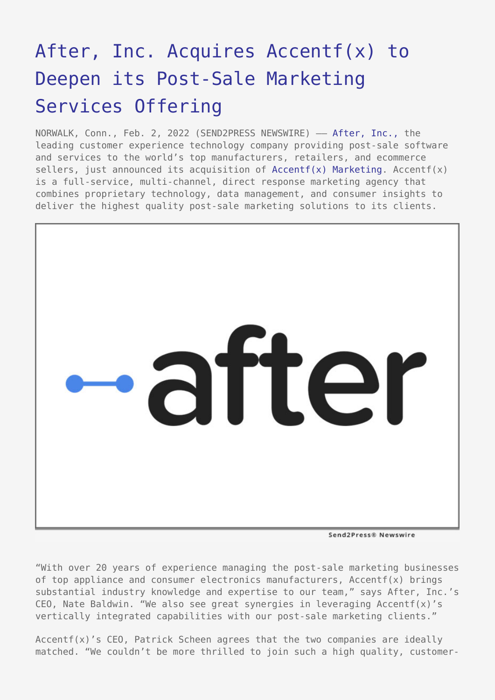# [After, Inc. Acquires Accentf\(x\) to](https://www.send2press.com/wire/after-inc-acquires-accentfx-to-deepen-its-post-sale-marketing-services-offering/) [Deepen its Post-Sale Marketing](https://www.send2press.com/wire/after-inc-acquires-accentfx-to-deepen-its-post-sale-marketing-services-offering/) [Services Offering](https://www.send2press.com/wire/after-inc-acquires-accentfx-to-deepen-its-post-sale-marketing-services-offering/)

NORWALK, Conn., Feb. 2, 2022 (SEND2PRESS NEWSWIRE) - [After, Inc.,](https://www.afterinc.com/) the leading customer experience technology company providing post-sale software and services to the world's top manufacturers, retailers, and ecommerce sellers, just announced its acquisition of  $Accentf(x)$  Marketing,  $Accentf(x)$ is a full-service, multi-channel, direct response marketing agency that combines proprietary technology, data management, and consumer insights to deliver the highest quality post-sale marketing solutions to its clients.



Send2Press® Newswire

"With over 20 years of experience managing the post-sale marketing businesses of top appliance and consumer electronics manufacturers, Accentf(x) brings substantial industry knowledge and expertise to our team," says After, Inc.'s CEO, Nate Baldwin. "We also see great synergies in leveraging Accentf(x)'s vertically integrated capabilities with our post-sale marketing clients."

Accentf(x)'s CEO, Patrick Scheen agrees that the two companies are ideally matched. "We couldn't be more thrilled to join such a high quality, customer-